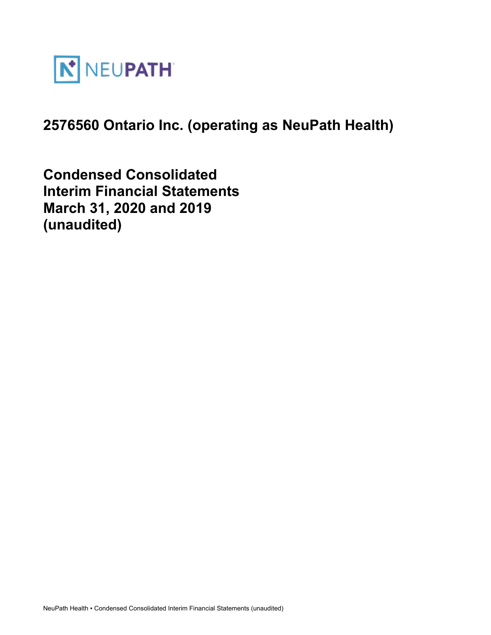

# **2576560 Ontario Inc. (operating as NeuPath Health)**

**Condensed Consolidated Interim Financial Statements March 31, 2020 and 2019 (unaudited)**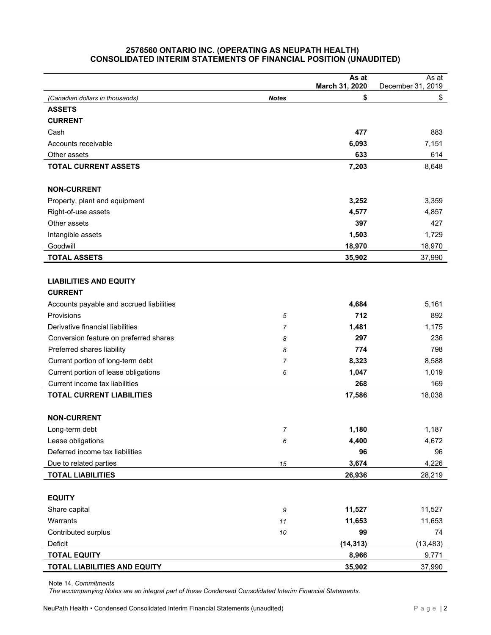#### **2576560 ONTARIO INC. (OPERATING AS NEUPATH HEALTH) CONSOLIDATED INTERIM STATEMENTS OF FINANCIAL POSITION (UNAUDITED)**

|                                          |              | As at<br>March 31, 2020 | As at<br>December 31, 2019 |
|------------------------------------------|--------------|-------------------------|----------------------------|
| (Canadian dollars in thousands)          | <b>Notes</b> | \$                      | \$                         |
| <b>ASSETS</b>                            |              |                         |                            |
| <b>CURRENT</b>                           |              |                         |                            |
| Cash                                     |              | 477                     | 883                        |
| Accounts receivable                      |              | 6,093                   | 7,151                      |
| Other assets                             |              | 633                     | 614                        |
| <b>TOTAL CURRENT ASSETS</b>              |              | 7,203                   | 8,648                      |
|                                          |              |                         |                            |
| <b>NON-CURRENT</b>                       |              |                         |                            |
| Property, plant and equipment            |              | 3,252                   | 3,359                      |
| Right-of-use assets                      |              | 4,577                   | 4,857                      |
| Other assets                             |              | 397                     | 427                        |
| Intangible assets                        |              | 1,503                   | 1,729                      |
| Goodwill                                 |              | 18,970                  | 18,970                     |
| <b>TOTAL ASSETS</b>                      |              | 35,902                  | 37,990                     |
|                                          |              |                         |                            |
| <b>LIABILITIES AND EQUITY</b>            |              |                         |                            |
| <b>CURRENT</b>                           |              |                         |                            |
| Accounts payable and accrued liabilities |              | 4,684                   | 5,161                      |
| Provisions                               | $\sqrt{5}$   | 712                     | 892                        |
| Derivative financial liabilities         | 7            | 1,481                   | 1,175                      |
| Conversion feature on preferred shares   | 8            | 297                     | 236                        |
| Preferred shares liability               | 8            | 774                     | 798                        |
| Current portion of long-term debt        | 7            | 8,323                   | 8,588                      |
| Current portion of lease obligations     | 6            | 1,047                   | 1,019                      |
| Current income tax liabilities           |              | 268                     | 169                        |
| <b>TOTAL CURRENT LIABILITIES</b>         |              | 17,586                  | 18,038                     |
|                                          |              |                         |                            |
| <b>NON-CURRENT</b>                       |              |                         |                            |
| Long-term debt                           | 7            | 1,180                   | 1,187                      |
| Lease obligations                        | 6            | 4,400                   | 4,672                      |
| Deferred income tax liabilities          |              | 96                      | 96                         |
| Due to related parties                   | $15\,$       | 3,674                   | 4,226                      |
| <b>TOTAL LIABILITIES</b>                 |              | 26,936                  | 28,219                     |
|                                          |              |                         |                            |
| <b>EQUITY</b>                            |              |                         |                            |
| Share capital                            | 9            | 11,527                  | 11,527                     |
| Warrants                                 | 11           | 11,653                  | 11,653                     |
| Contributed surplus                      | 10           | 99                      | 74                         |
| Deficit                                  |              | (14, 313)               | (13, 483)                  |
| <b>TOTAL EQUITY</b>                      |              | 8,966                   | 9,771                      |
| TOTAL LIABILITIES AND EQUITY             |              | 35,902                  | 37,990                     |

Note 14, *Commitments*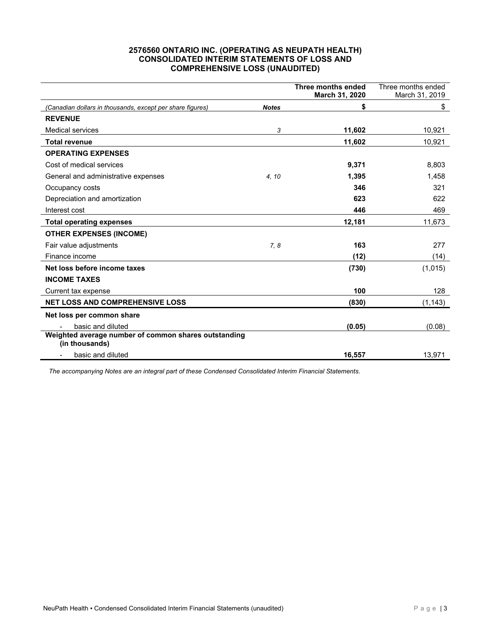# **2576560 ONTARIO INC. (OPERATING AS NEUPATH HEALTH) CONSOLIDATED INTERIM STATEMENTS OF LOSS AND COMPREHENSIVE LOSS (UNAUDITED)**

|                                                                        |              | Three months ended | Three months ended |
|------------------------------------------------------------------------|--------------|--------------------|--------------------|
|                                                                        |              | March 31, 2020     | March 31, 2019     |
| (Canadian dollars in thousands, except per share figures)              | <b>Notes</b> | \$                 | \$                 |
| <b>REVENUE</b>                                                         |              |                    |                    |
| <b>Medical services</b>                                                | 3            | 11,602             | 10,921             |
| <b>Total revenue</b>                                                   |              | 11,602             | 10,921             |
| <b>OPERATING EXPENSES</b>                                              |              |                    |                    |
| Cost of medical services                                               |              | 9,371              | 8,803              |
| General and administrative expenses                                    | 4, 10        | 1,395              | 1,458              |
| Occupancy costs                                                        |              | 346                | 321                |
| Depreciation and amortization                                          |              | 623                | 622                |
| Interest cost                                                          |              | 446                | 469                |
| <b>Total operating expenses</b>                                        |              | 12,181             | 11,673             |
| <b>OTHER EXPENSES (INCOME)</b>                                         |              |                    |                    |
| Fair value adjustments                                                 | 7,8          | 163                | 277                |
| Finance income                                                         |              | (12)               | (14)               |
| Net loss before income taxes                                           |              | (730)              | (1,015)            |
| <b>INCOME TAXES</b>                                                    |              |                    |                    |
| Current tax expense                                                    |              | 100                | 128                |
| NET LOSS AND COMPREHENSIVE LOSS                                        |              | (830)              | (1, 143)           |
| Net loss per common share                                              |              |                    |                    |
| basic and diluted                                                      |              | (0.05)             | (0.08)             |
| Weighted average number of common shares outstanding<br>(in thousands) |              |                    |                    |
| basic and diluted                                                      |              | 16,557             | 13,971             |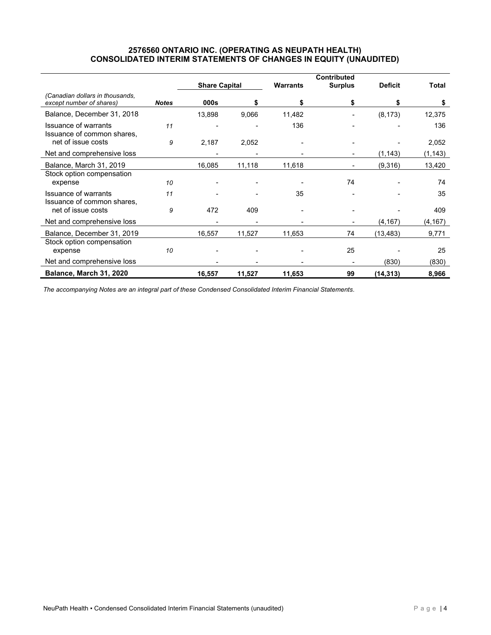## **2576560 ONTARIO INC. (OPERATING AS NEUPATH HEALTH) CONSOLIDATED INTERIM STATEMENTS OF CHANGES IN EQUITY (UNAUDITED)**

|                                                             |              | <b>Contributed</b>   |        |                 |                          |                |          |
|-------------------------------------------------------------|--------------|----------------------|--------|-----------------|--------------------------|----------------|----------|
|                                                             |              | <b>Share Capital</b> |        | <b>Warrants</b> | <b>Surplus</b>           | <b>Deficit</b> | Total    |
| (Canadian dollars in thousands,<br>except number of shares) | <b>Notes</b> | 000s                 |        | S               |                          | \$             | S        |
| Balance, December 31, 2018                                  |              | 13,898               | 9,066  | 11,482          |                          | (8, 173)       | 12,375   |
| <b>Issuance of warrants</b><br>Issuance of common shares,   | 11           |                      |        | 136             |                          |                | 136      |
| net of issue costs                                          | 9            | 2,187                | 2,052  |                 |                          |                | 2,052    |
| Net and comprehensive loss                                  |              |                      |        |                 |                          | (1, 143)       | (1, 143) |
| Balance, March 31, 2019                                     |              | 16,085               | 11,118 | 11,618          |                          | (9,316)        | 13,420   |
| Stock option compensation<br>expense                        | 10           |                      |        |                 | 74                       |                | 74       |
| <b>Issuance of warrants</b><br>Issuance of common shares,   | 11           |                      |        | 35              |                          |                | 35       |
| net of issue costs                                          | 9            | 472                  | 409    |                 |                          |                | 409      |
| Net and comprehensive loss                                  |              |                      |        |                 | $\overline{\phantom{0}}$ | (4, 167)       | (4,167)  |
| Balance, December 31, 2019                                  |              | 16,557               | 11,527 | 11,653          | 74                       | (13,483)       | 9,771    |
| Stock option compensation<br>expense                        | 10           |                      |        |                 | 25                       |                | 25       |
| Net and comprehensive loss                                  |              |                      |        |                 |                          | (830)          | (830)    |
| Balance, March 31, 2020                                     |              | 16,557               | 11,527 | 11,653          | 99                       | (14, 313)      | 8,966    |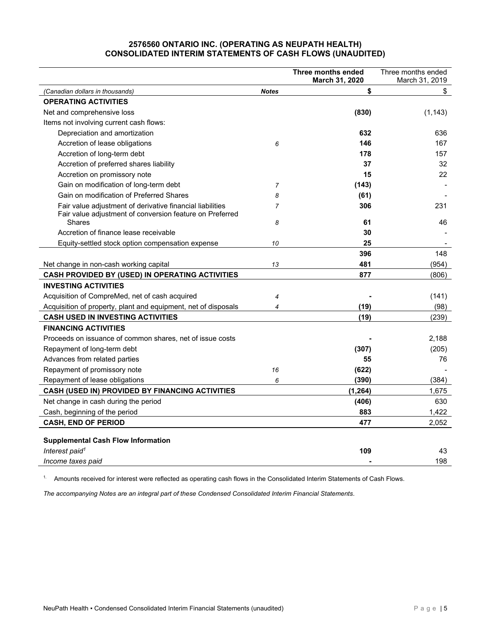# **2576560 ONTARIO INC. (OPERATING AS NEUPATH HEALTH) CONSOLIDATED INTERIM STATEMENTS OF CASH FLOWS (UNAUDITED)**

| March 31, 2020<br>March 31, 2019<br>\$<br>\$<br>(Canadian dollars in thousands)<br><b>Notes</b><br><b>OPERATING ACTIVITIES</b><br>Net and comprehensive loss<br>(830)<br>(1, 143)<br>Items not involving current cash flows:<br>Depreciation and amortization<br>632<br>636<br>Accretion of lease obligations<br>146<br>6<br>167<br>Accretion of long-term debt<br>178<br>157<br>Accretion of preferred shares liability<br>37<br>32<br>22<br>15<br>Accretion on promissory note<br>Gain on modification of long-term debt<br>(143)<br>7<br>Gain on modification of Preferred Shares<br>(61)<br>8<br>306<br>Fair value adjustment of derivative financial liabilities<br>231<br>$\overline{7}$<br>Fair value adjustment of conversion feature on Preferred<br><b>Shares</b><br>61<br>46<br>8<br>Accretion of finance lease receivable<br>30<br>25<br>Equity-settled stock option compensation expense<br>10<br>396<br>148<br>481<br>(954)<br>Net change in non-cash working capital<br>13<br>877<br>CASH PROVIDED BY (USED) IN OPERATING ACTIVITIES<br>(806)<br><b>INVESTING ACTIVITIES</b><br>Acquisition of CompreMed, net of cash acquired<br>(141)<br>4<br>(19)<br>(98)<br>Acquisition of property, plant and equipment, net of disposals<br>$\overline{4}$<br>(19)<br><b>CASH USED IN INVESTING ACTIVITIES</b><br>(239) |
|------------------------------------------------------------------------------------------------------------------------------------------------------------------------------------------------------------------------------------------------------------------------------------------------------------------------------------------------------------------------------------------------------------------------------------------------------------------------------------------------------------------------------------------------------------------------------------------------------------------------------------------------------------------------------------------------------------------------------------------------------------------------------------------------------------------------------------------------------------------------------------------------------------------------------------------------------------------------------------------------------------------------------------------------------------------------------------------------------------------------------------------------------------------------------------------------------------------------------------------------------------------------------------------------------------------------------|
|                                                                                                                                                                                                                                                                                                                                                                                                                                                                                                                                                                                                                                                                                                                                                                                                                                                                                                                                                                                                                                                                                                                                                                                                                                                                                                                              |
|                                                                                                                                                                                                                                                                                                                                                                                                                                                                                                                                                                                                                                                                                                                                                                                                                                                                                                                                                                                                                                                                                                                                                                                                                                                                                                                              |
|                                                                                                                                                                                                                                                                                                                                                                                                                                                                                                                                                                                                                                                                                                                                                                                                                                                                                                                                                                                                                                                                                                                                                                                                                                                                                                                              |
|                                                                                                                                                                                                                                                                                                                                                                                                                                                                                                                                                                                                                                                                                                                                                                                                                                                                                                                                                                                                                                                                                                                                                                                                                                                                                                                              |
|                                                                                                                                                                                                                                                                                                                                                                                                                                                                                                                                                                                                                                                                                                                                                                                                                                                                                                                                                                                                                                                                                                                                                                                                                                                                                                                              |
|                                                                                                                                                                                                                                                                                                                                                                                                                                                                                                                                                                                                                                                                                                                                                                                                                                                                                                                                                                                                                                                                                                                                                                                                                                                                                                                              |
|                                                                                                                                                                                                                                                                                                                                                                                                                                                                                                                                                                                                                                                                                                                                                                                                                                                                                                                                                                                                                                                                                                                                                                                                                                                                                                                              |
|                                                                                                                                                                                                                                                                                                                                                                                                                                                                                                                                                                                                                                                                                                                                                                                                                                                                                                                                                                                                                                                                                                                                                                                                                                                                                                                              |
|                                                                                                                                                                                                                                                                                                                                                                                                                                                                                                                                                                                                                                                                                                                                                                                                                                                                                                                                                                                                                                                                                                                                                                                                                                                                                                                              |
|                                                                                                                                                                                                                                                                                                                                                                                                                                                                                                                                                                                                                                                                                                                                                                                                                                                                                                                                                                                                                                                                                                                                                                                                                                                                                                                              |
|                                                                                                                                                                                                                                                                                                                                                                                                                                                                                                                                                                                                                                                                                                                                                                                                                                                                                                                                                                                                                                                                                                                                                                                                                                                                                                                              |
|                                                                                                                                                                                                                                                                                                                                                                                                                                                                                                                                                                                                                                                                                                                                                                                                                                                                                                                                                                                                                                                                                                                                                                                                                                                                                                                              |
|                                                                                                                                                                                                                                                                                                                                                                                                                                                                                                                                                                                                                                                                                                                                                                                                                                                                                                                                                                                                                                                                                                                                                                                                                                                                                                                              |
|                                                                                                                                                                                                                                                                                                                                                                                                                                                                                                                                                                                                                                                                                                                                                                                                                                                                                                                                                                                                                                                                                                                                                                                                                                                                                                                              |
|                                                                                                                                                                                                                                                                                                                                                                                                                                                                                                                                                                                                                                                                                                                                                                                                                                                                                                                                                                                                                                                                                                                                                                                                                                                                                                                              |
|                                                                                                                                                                                                                                                                                                                                                                                                                                                                                                                                                                                                                                                                                                                                                                                                                                                                                                                                                                                                                                                                                                                                                                                                                                                                                                                              |
|                                                                                                                                                                                                                                                                                                                                                                                                                                                                                                                                                                                                                                                                                                                                                                                                                                                                                                                                                                                                                                                                                                                                                                                                                                                                                                                              |
|                                                                                                                                                                                                                                                                                                                                                                                                                                                                                                                                                                                                                                                                                                                                                                                                                                                                                                                                                                                                                                                                                                                                                                                                                                                                                                                              |
|                                                                                                                                                                                                                                                                                                                                                                                                                                                                                                                                                                                                                                                                                                                                                                                                                                                                                                                                                                                                                                                                                                                                                                                                                                                                                                                              |
|                                                                                                                                                                                                                                                                                                                                                                                                                                                                                                                                                                                                                                                                                                                                                                                                                                                                                                                                                                                                                                                                                                                                                                                                                                                                                                                              |
|                                                                                                                                                                                                                                                                                                                                                                                                                                                                                                                                                                                                                                                                                                                                                                                                                                                                                                                                                                                                                                                                                                                                                                                                                                                                                                                              |
|                                                                                                                                                                                                                                                                                                                                                                                                                                                                                                                                                                                                                                                                                                                                                                                                                                                                                                                                                                                                                                                                                                                                                                                                                                                                                                                              |
|                                                                                                                                                                                                                                                                                                                                                                                                                                                                                                                                                                                                                                                                                                                                                                                                                                                                                                                                                                                                                                                                                                                                                                                                                                                                                                                              |
| <b>FINANCING ACTIVITIES</b>                                                                                                                                                                                                                                                                                                                                                                                                                                                                                                                                                                                                                                                                                                                                                                                                                                                                                                                                                                                                                                                                                                                                                                                                                                                                                                  |
| Proceeds on issuance of common shares, net of issue costs<br>2,188                                                                                                                                                                                                                                                                                                                                                                                                                                                                                                                                                                                                                                                                                                                                                                                                                                                                                                                                                                                                                                                                                                                                                                                                                                                           |
| (205)<br>Repayment of long-term debt<br>(307)                                                                                                                                                                                                                                                                                                                                                                                                                                                                                                                                                                                                                                                                                                                                                                                                                                                                                                                                                                                                                                                                                                                                                                                                                                                                                |
| Advances from related parties<br>55<br>76                                                                                                                                                                                                                                                                                                                                                                                                                                                                                                                                                                                                                                                                                                                                                                                                                                                                                                                                                                                                                                                                                                                                                                                                                                                                                    |
| (622)<br>Repayment of promissory note<br>16                                                                                                                                                                                                                                                                                                                                                                                                                                                                                                                                                                                                                                                                                                                                                                                                                                                                                                                                                                                                                                                                                                                                                                                                                                                                                  |
| (390)<br>(384)<br>Repayment of lease obligations<br>6                                                                                                                                                                                                                                                                                                                                                                                                                                                                                                                                                                                                                                                                                                                                                                                                                                                                                                                                                                                                                                                                                                                                                                                                                                                                        |
| CASH (USED IN) PROVIDED BY FINANCING ACTIVITIES<br>(1, 264)<br>1,675                                                                                                                                                                                                                                                                                                                                                                                                                                                                                                                                                                                                                                                                                                                                                                                                                                                                                                                                                                                                                                                                                                                                                                                                                                                         |
| 630<br>Net change in cash during the period<br>(406)                                                                                                                                                                                                                                                                                                                                                                                                                                                                                                                                                                                                                                                                                                                                                                                                                                                                                                                                                                                                                                                                                                                                                                                                                                                                         |
| Cash, beginning of the period<br>883<br>1,422                                                                                                                                                                                                                                                                                                                                                                                                                                                                                                                                                                                                                                                                                                                                                                                                                                                                                                                                                                                                                                                                                                                                                                                                                                                                                |
| <b>CASH, END OF PERIOD</b><br>477<br>2,052                                                                                                                                                                                                                                                                                                                                                                                                                                                                                                                                                                                                                                                                                                                                                                                                                                                                                                                                                                                                                                                                                                                                                                                                                                                                                   |
| <b>Supplemental Cash Flow Information</b>                                                                                                                                                                                                                                                                                                                                                                                                                                                                                                                                                                                                                                                                                                                                                                                                                                                                                                                                                                                                                                                                                                                                                                                                                                                                                    |
| Interest paid <sup>1</sup><br>109<br>43                                                                                                                                                                                                                                                                                                                                                                                                                                                                                                                                                                                                                                                                                                                                                                                                                                                                                                                                                                                                                                                                                                                                                                                                                                                                                      |
| 198<br>Income taxes paid                                                                                                                                                                                                                                                                                                                                                                                                                                                                                                                                                                                                                                                                                                                                                                                                                                                                                                                                                                                                                                                                                                                                                                                                                                                                                                     |

1. Amounts received for interest were reflected as operating cash flows in the Consolidated Interim Statements of Cash Flows.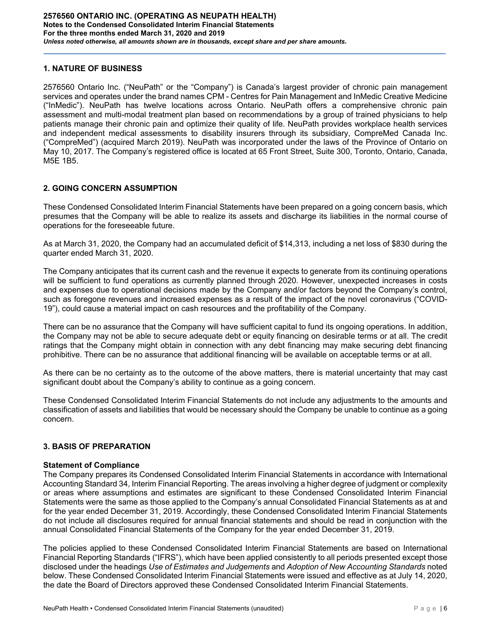## **1. NATURE OF BUSINESS**

2576560 Ontario Inc. ("NeuPath" or the "Company") is Canada's largest provider of chronic pain management services and operates under the brand names CPM - Centres for Pain Management and InMedic Creative Medicine ("InMedic"). NeuPath has twelve locations across Ontario. NeuPath offers a comprehensive chronic pain assessment and multi-modal treatment plan based on recommendations by a group of trained physicians to help patients manage their chronic pain and optimize their quality of life. NeuPath provides workplace health services and independent medical assessments to disability insurers through its subsidiary, CompreMed Canada Inc. ("CompreMed") (acquired March 2019). NeuPath was incorporated under the laws of the Province of Ontario on May 10, 2017. The Company's registered office is located at 65 Front Street, Suite 300, Toronto, Ontario, Canada, M5E 1B5.

#### **2. GOING CONCERN ASSUMPTION**

These Condensed Consolidated Interim Financial Statements have been prepared on a going concern basis, which presumes that the Company will be able to realize its assets and discharge its liabilities in the normal course of operations for the foreseeable future.

As at March 31, 2020, the Company had an accumulated deficit of \$14,313, including a net loss of \$830 during the quarter ended March 31, 2020.

The Company anticipates that its current cash and the revenue it expects to generate from its continuing operations will be sufficient to fund operations as currently planned through 2020. However, unexpected increases in costs and expenses due to operational decisions made by the Company and/or factors beyond the Company's control, such as foregone revenues and increased expenses as a result of the impact of the novel coronavirus ("COVID-19"), could cause a material impact on cash resources and the profitability of the Company.

There can be no assurance that the Company will have sufficient capital to fund its ongoing operations. In addition, the Company may not be able to secure adequate debt or equity financing on desirable terms or at all. The credit ratings that the Company might obtain in connection with any debt financing may make securing debt financing prohibitive. There can be no assurance that additional financing will be available on acceptable terms or at all.

As there can be no certainty as to the outcome of the above matters, there is material uncertainty that may cast significant doubt about the Company's ability to continue as a going concern.

These Condensed Consolidated Interim Financial Statements do not include any adjustments to the amounts and classification of assets and liabilities that would be necessary should the Company be unable to continue as a going concern.

# **3. BASIS OF PREPARATION**

#### **Statement of Compliance**

The Company prepares its Condensed Consolidated Interim Financial Statements in accordance with International Accounting Standard 34, Interim Financial Reporting. The areas involving a higher degree of judgment or complexity or areas where assumptions and estimates are significant to these Condensed Consolidated Interim Financial Statements were the same as those applied to the Company's annual Consolidated Financial Statements as at and for the year ended December 31, 2019. Accordingly, these Condensed Consolidated Interim Financial Statements do not include all disclosures required for annual financial statements and should be read in conjunction with the annual Consolidated Financial Statements of the Company for the year ended December 31, 2019.

The policies applied to these Condensed Consolidated Interim Financial Statements are based on International Financial Reporting Standards ("IFRS"), which have been applied consistently to all periods presented except those disclosed under the headings *Use of Estimates and Judgements* and *Adoption of New Accounting Standards* noted below. These Condensed Consolidated Interim Financial Statements were issued and effective as at July 14, 2020, the date the Board of Directors approved these Condensed Consolidated Interim Financial Statements.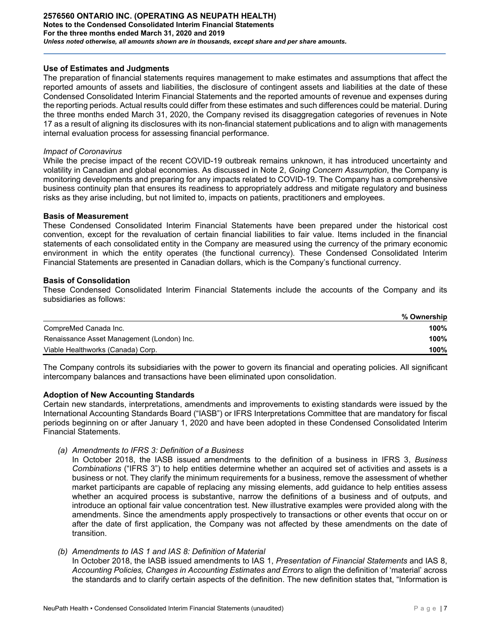#### **Use of Estimates and Judgments**

The preparation of financial statements requires management to make estimates and assumptions that affect the reported amounts of assets and liabilities, the disclosure of contingent assets and liabilities at the date of these Condensed Consolidated Interim Financial Statements and the reported amounts of revenue and expenses during the reporting periods. Actual results could differ from these estimates and such differences could be material. During the three months ended March 31, 2020, the Company revised its disaggregation categories of revenues in Note 17 as a result of aligning its disclosures with its non-financial statement publications and to align with managements internal evaluation process for assessing financial performance.

#### *Impact of Coronavirus*

While the precise impact of the recent COVID-19 outbreak remains unknown, it has introduced uncertainty and volatility in Canadian and global economies. As discussed in Note 2, *Going Concern Assumption*, the Company is monitoring developments and preparing for any impacts related to COVID-19. The Company has a comprehensive business continuity plan that ensures its readiness to appropriately address and mitigate regulatory and business risks as they arise including, but not limited to, impacts on patients, practitioners and employees.

#### **Basis of Measurement**

These Condensed Consolidated Interim Financial Statements have been prepared under the historical cost convention, except for the revaluation of certain financial liabilities to fair value. Items included in the financial statements of each consolidated entity in the Company are measured using the currency of the primary economic environment in which the entity operates (the functional currency). These Condensed Consolidated Interim Financial Statements are presented in Canadian dollars, which is the Company's functional currency.

#### **Basis of Consolidation**

These Condensed Consolidated Interim Financial Statements include the accounts of the Company and its subsidiaries as follows:

|                                            | % Ownership |
|--------------------------------------------|-------------|
| CompreMed Canada Inc.                      | 100%        |
| Renaissance Asset Management (London) Inc. | 100%        |
| Viable Healthworks (Canada) Corp.          | 100%        |

The Company controls its subsidiaries with the power to govern its financial and operating policies. All significant intercompany balances and transactions have been eliminated upon consolidation.

#### **Adoption of New Accounting Standards**

Certain new standards, interpretations, amendments and improvements to existing standards were issued by the International Accounting Standards Board ("IASB") or IFRS Interpretations Committee that are mandatory for fiscal periods beginning on or after January 1, 2020 and have been adopted in these Condensed Consolidated Interim Financial Statements.

*(a) Amendments to IFRS 3: Definition of a Business* 

In October 2018, the IASB issued amendments to the definition of a business in IFRS 3, *Business Combinations* ("IFRS 3") to help entities determine whether an acquired set of activities and assets is a business or not. They clarify the minimum requirements for a business, remove the assessment of whether market participants are capable of replacing any missing elements, add guidance to help entities assess whether an acquired process is substantive, narrow the definitions of a business and of outputs, and introduce an optional fair value concentration test. New illustrative examples were provided along with the amendments. Since the amendments apply prospectively to transactions or other events that occur on or after the date of first application, the Company was not affected by these amendments on the date of transition.

*(b) Amendments to IAS 1 and IAS 8: Definition of Material* 

In October 2018, the IASB issued amendments to IAS 1, *Presentation of Financial Statements* and IAS 8, *Accounting Policies, Changes in Accounting Estimates and Errors* to align the definition of 'material' across the standards and to clarify certain aspects of the definition. The new definition states that, "Information is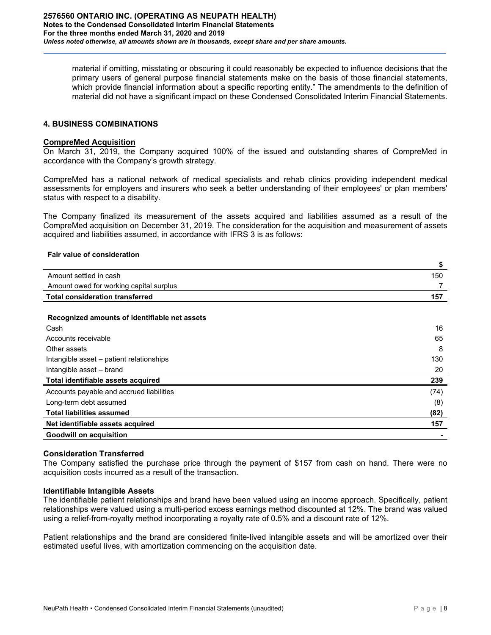material if omitting, misstating or obscuring it could reasonably be expected to influence decisions that the primary users of general purpose financial statements make on the basis of those financial statements, which provide financial information about a specific reporting entity." The amendments to the definition of material did not have a significant impact on these Condensed Consolidated Interim Financial Statements.

# **4. BUSINESS COMBINATIONS**

#### **CompreMed Acquisition**

On March 31, 2019, the Company acquired 100% of the issued and outstanding shares of CompreMed in accordance with the Company's growth strategy.

CompreMed has a national network of medical specialists and rehab clinics providing independent medical assessments for employers and insurers who seek a better understanding of their employees' or plan members' status with respect to a disability.

The Company finalized its measurement of the assets acquired and liabilities assumed as a result of the CompreMed acquisition on December 31, 2019. The consideration for the acquisition and measurement of assets acquired and liabilities assumed, in accordance with IFRS 3 is as follows:

#### **Fair value of consideration**

|                                               | ₽    |
|-----------------------------------------------|------|
| Amount settled in cash                        | 150  |
| Amount owed for working capital surplus       |      |
| <b>Total consideration transferred</b>        | 157  |
|                                               |      |
| Recognized amounts of identifiable net assets |      |
| Cash                                          | 16   |
| Accounts receivable                           | 65   |
| Other assets                                  | 8    |
| Intangible asset – patient relationships      | 130  |
| Intangible asset – brand                      | 20   |
| Total identifiable assets acquired            | 239  |
| Accounts payable and accrued liabilities      | (74) |
| Long-term debt assumed                        | (8)  |
| <b>Total liabilities assumed</b>              | (82) |
| Net identifiable assets acquired              | 157  |
| <b>Goodwill on acquisition</b>                |      |

#### **Consideration Transferred**

The Company satisfied the purchase price through the payment of \$157 from cash on hand. There were no acquisition costs incurred as a result of the transaction.

#### **Identifiable Intangible Assets**

The identifiable patient relationships and brand have been valued using an income approach. Specifically, patient relationships were valued using a multi-period excess earnings method discounted at 12%. The brand was valued using a relief-from-royalty method incorporating a royalty rate of 0.5% and a discount rate of 12%.

Patient relationships and the brand are considered finite-lived intangible assets and will be amortized over their estimated useful lives, with amortization commencing on the acquisition date.

**\$**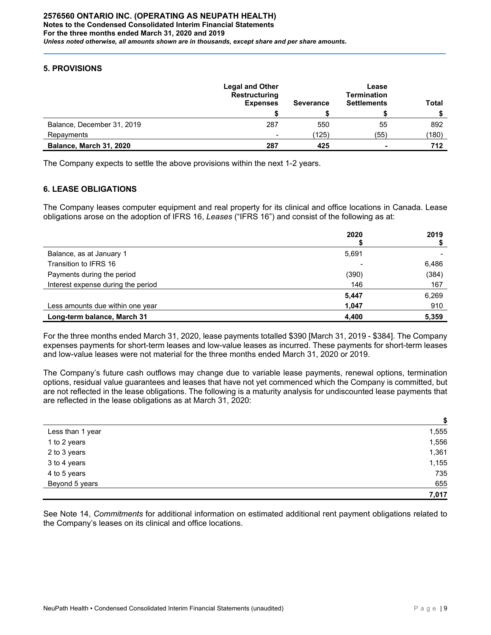# **5. PROVISIONS**

|                            | <b>Legal and Other</b><br><b>Restructuring</b><br><b>Expenses</b> | <b>Severance</b> | Lease<br><b>Termination</b><br><b>Settlements</b> | <b>Total</b> |
|----------------------------|-------------------------------------------------------------------|------------------|---------------------------------------------------|--------------|
|                            |                                                                   |                  |                                                   |              |
| Balance, December 31, 2019 | 287                                                               | 550              | 55                                                | 892          |
| Repayments                 | $\qquad \qquad$                                                   | (125)            | (55)                                              | (180)        |
| Balance, March 31, 2020    | 287                                                               | 425              | $\blacksquare$                                    | 712          |

The Company expects to settle the above provisions within the next 1-2 years.

# **6. LEASE OBLIGATIONS**

The Company leases computer equipment and real property for its clinical and office locations in Canada. Lease obligations arose on the adoption of IFRS 16, *Leases* ("IFRS 16") and consist of the following as at:

|                                    | 2020  | 2019  |
|------------------------------------|-------|-------|
| Balance, as at January 1           | 5,691 |       |
| Transition to IFRS 16              |       | 6,486 |
| Payments during the period         | (390) | (384) |
| Interest expense during the period | 146   | 167   |
|                                    | 5,447 | 6,269 |
| Less amounts due within one year   | 1,047 | 910   |
| Long-term balance, March 31        | 4,400 | 5,359 |

For the three months ended March 31, 2020, lease payments totalled \$390 [March 31, 2019 - \$384]. The Company expenses payments for short-term leases and low-value leases as incurred. These payments for short-term leases and low-value leases were not material for the three months ended March 31, 2020 or 2019.

The Company's future cash outflows may change due to variable lease payments, renewal options, termination options, residual value guarantees and leases that have not yet commenced which the Company is committed, but are not reflected in the lease obligations. The following is a maturity analysis for undiscounted lease payments that are reflected in the lease obligations as at March 31, 2020:

|                  | œ     |
|------------------|-------|
| Less than 1 year | 1,555 |
| 1 to 2 years     | 1,556 |
| 2 to 3 years     | 1,361 |
| 3 to 4 years     | 1,155 |
| 4 to 5 years     | 735   |
| Beyond 5 years   | 655   |
|                  | 7,017 |

See Note 14, *Commitments* for additional information on estimated additional rent payment obligations related to the Company's leases on its clinical and office locations.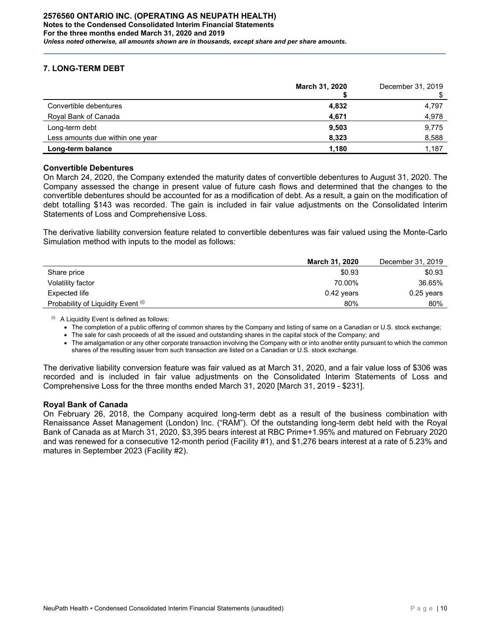# **7. LONG-TERM DEBT**

|                                  | March 31, 2020 | December 31, 2019 |
|----------------------------------|----------------|-------------------|
| Convertible debentures           | 4,832          | 4,797             |
| Royal Bank of Canada             | 4,671          | 4,978             |
| Long-term debt                   | 9,503          | 9,775             |
| Less amounts due within one year | 8,323          | 8,588             |
| Long-term balance                | 1,180          | 1,187             |

#### **Convertible Debentures**

On March 24, 2020, the Company extended the maturity dates of convertible debentures to August 31, 2020. The Company assessed the change in present value of future cash flows and determined that the changes to the convertible debentures should be accounted for as a modification of debt. As a result, a gain on the modification of debt totalling \$143 was recorded. The gain is included in fair value adjustments on the Consolidated Interim Statements of Loss and Comprehensive Loss.

The derivative liability conversion feature related to convertible debentures was fair valued using the Monte-Carlo Simulation method with inputs to the model as follows:

|                                    | <b>March 31, 2020</b> | December 31, 2019 |
|------------------------------------|-----------------------|-------------------|
| Share price                        | \$0.93                | \$0.93            |
| Volatility factor                  | 70.00%                | 36.65%            |
| Expected life                      | $0.42$ years          | $0.25$ years      |
| Probability of Liquidity Event (i) | 80%                   | 80%               |

 $(i)$  A Liquidity Event is defined as follows:

• The completion of a public offering of common shares by the Company and listing of same on a Canadian or U.S. stock exchange;

• The sale for cash proceeds of all the issued and outstanding shares in the capital stock of the Company; and

• The amalgamation or any other corporate transaction involving the Company with or into another entity pursuant to which the common shares of the resulting issuer from such transaction are listed on a Canadian or U.S. stock exchange.

The derivative liability conversion feature was fair valued as at March 31, 2020, and a fair value loss of \$306 was recorded and is included in fair value adjustments on the Consolidated Interim Statements of Loss and Comprehensive Loss for the three months ended March 31, 2020 [March 31, 2019 - \$231].

#### **Royal Bank of Canada**

On February 26, 2018, the Company acquired long-term debt as a result of the business combination with Renaissance Asset Management (London) Inc. ("RAM"). Of the outstanding long-term debt held with the Royal Bank of Canada as at March 31, 2020, \$3,395 bears interest at RBC Prime+1.95% and matured on February 2020 and was renewed for a consecutive 12-month period (Facility #1), and \$1,276 bears interest at a rate of 5.23% and matures in September 2023 (Facility #2).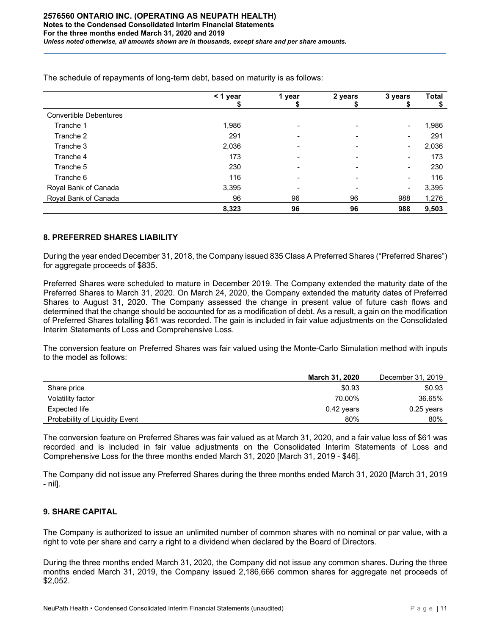|                               | < 1 year | 1 year | 2 years | 3 years                  | <b>Total</b> |
|-------------------------------|----------|--------|---------|--------------------------|--------------|
|                               |          |        |         |                          |              |
| <b>Convertible Debentures</b> |          |        |         |                          |              |
| Tranche 1                     | 1,986    |        |         | $\overline{\phantom{a}}$ | 1,986        |
| Tranche 2                     | 291      |        |         |                          | 291          |
| Tranche 3                     | 2,036    |        |         | -                        | 2,036        |
| Tranche 4                     | 173      |        |         |                          | 173          |
| Tranche 5                     | 230      |        |         | $\blacksquare$           | 230          |
| Tranche 6                     | 116      |        |         | $\overline{\phantom{a}}$ | 116          |
| Royal Bank of Canada          | 3,395    |        |         | $\blacksquare$           | 3,395        |
| Royal Bank of Canada          | 96       | 96     | 96      | 988                      | 1,276        |
|                               | 8,323    | 96     | 96      | 988                      | 9,503        |

The schedule of repayments of long-term debt, based on maturity is as follows:

#### **8. PREFERRED SHARES LIABILITY**

During the year ended December 31, 2018, the Company issued 835 Class A Preferred Shares ("Preferred Shares") for aggregate proceeds of \$835.

Preferred Shares were scheduled to mature in December 2019. The Company extended the maturity date of the Preferred Shares to March 31, 2020. On March 24, 2020, the Company extended the maturity dates of Preferred Shares to August 31, 2020. The Company assessed the change in present value of future cash flows and determined that the change should be accounted for as a modification of debt. As a result, a gain on the modification of Preferred Shares totalling \$61 was recorded. The gain is included in fair value adjustments on the Consolidated Interim Statements of Loss and Comprehensive Loss.

The conversion feature on Preferred Shares was fair valued using the Monte-Carlo Simulation method with inputs to the model as follows:

|                                | <b>March 31, 2020</b> | December 31, 2019 |
|--------------------------------|-----------------------|-------------------|
| Share price                    | \$0.93                | \$0.93            |
| Volatility factor              | 70.00%                | 36.65%            |
| Expected life                  | $0.42$ years          | $0.25$ years      |
| Probability of Liquidity Event | 80%                   | 80%               |

The conversion feature on Preferred Shares was fair valued as at March 31, 2020, and a fair value loss of \$61 was recorded and is included in fair value adjustments on the Consolidated Interim Statements of Loss and Comprehensive Loss for the three months ended March 31, 2020 [March 31, 2019 - \$46].

The Company did not issue any Preferred Shares during the three months ended March 31, 2020 [March 31, 2019 - nil].

# **9. SHARE CAPITAL**

The Company is authorized to issue an unlimited number of common shares with no nominal or par value, with a right to vote per share and carry a right to a dividend when declared by the Board of Directors.

During the three months ended March 31, 2020, the Company did not issue any common shares. During the three months ended March 31, 2019, the Company issued 2,186,666 common shares for aggregate net proceeds of \$2,052.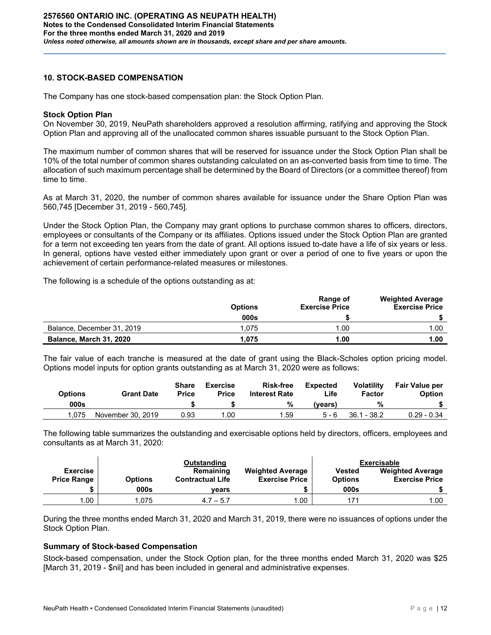## **10. STOCK-BASED COMPENSATION**

The Company has one stock-based compensation plan: the Stock Option Plan.

#### **Stock Option Plan**

On November 30, 2019, NeuPath shareholders approved a resolution affirming, ratifying and approving the Stock Option Plan and approving all of the unallocated common shares issuable pursuant to the Stock Option Plan.

The maximum number of common shares that will be reserved for issuance under the Stock Option Plan shall be 10% of the total number of common shares outstanding calculated on an as-converted basis from time to time. The allocation of such maximum percentage shall be determined by the Board of Directors (or a committee thereof) from time to time.

As at March 31, 2020, the number of common shares available for issuance under the Share Option Plan was 560,745 [December 31, 2019 - 560,745].

Under the Stock Option Plan, the Company may grant options to purchase common shares to officers, directors, employees or consultants of the Company or its affiliates. Options issued under the Stock Option Plan are granted for a term not exceeding ten years from the date of grant. All options issued to-date have a life of six years or less. In general, options have vested either immediately upon grant or over a period of one to five years or upon the achievement of certain performance-related measures or milestones.

The following is a schedule of the options outstanding as at:

|                            | <b>Options</b> | Range of<br><b>Exercise Price</b> | <b>Weighted Average</b><br><b>Exercise Price</b> |
|----------------------------|----------------|-----------------------------------|--------------------------------------------------|
|                            | 000s           |                                   |                                                  |
| Balance, December 31, 2019 | 1.075          | .00                               | 1.00                                             |
| Balance, March 31, 2020    | 1.075          | 1.00                              | 1.00                                             |

The fair value of each tranche is measured at the date of grant using the Black-Scholes option pricing model. Options model inputs for option grants outstanding as at March 31, 2020 were as follows:

| Options | <b>Grant Date</b> | Share<br><b>Price</b> | <b>Exercise</b><br><b>Price</b> | <b>Risk-free</b><br><b>Interest Rate</b> | <b>Expected</b><br>∟ife⊹ | <b>Volatility</b><br>Factor | <b>Fair Value per</b><br>Option |
|---------|-------------------|-----------------------|---------------------------------|------------------------------------------|--------------------------|-----------------------------|---------------------------------|
| 000s    |                   |                       |                                 | %                                        | (vears)                  | %                           |                                 |
| 1.075   | November 30, 2019 | 0.93                  | 1.00                            | 1.59                                     | $5 - 6$                  | $36.1 - 38.2$               | $0.29 - 0.34$                   |

The following table summarizes the outstanding and exercisable options held by directors, officers, employees and consultants as at March 31, 2020:

|                    |                | Outstanding             |                         |                | <b>Exercisable</b>      |
|--------------------|----------------|-------------------------|-------------------------|----------------|-------------------------|
| <b>Exercise</b>    |                | Remaining               | <b>Weighted Average</b> | Vested         | <b>Weighted Average</b> |
| <b>Price Range</b> | <b>Options</b> | <b>Contractual Life</b> | <b>Exercise Price</b>   | <b>Options</b> | <b>Exercise Price</b>   |
|                    | 000s           | vears                   |                         | 000s           |                         |
| 1.00               | .075           | $4.7 - 5.7$             | 1.00                    |                | 1.00                    |

During the three months ended March 31, 2020 and March 31, 2019, there were no issuances of options under the Stock Option Plan.

#### **Summary of Stock-based Compensation**

Stock-based compensation, under the Stock Option plan, for the three months ended March 31, 2020 was \$25 [March 31, 2019 - \$nil] and has been included in general and administrative expenses.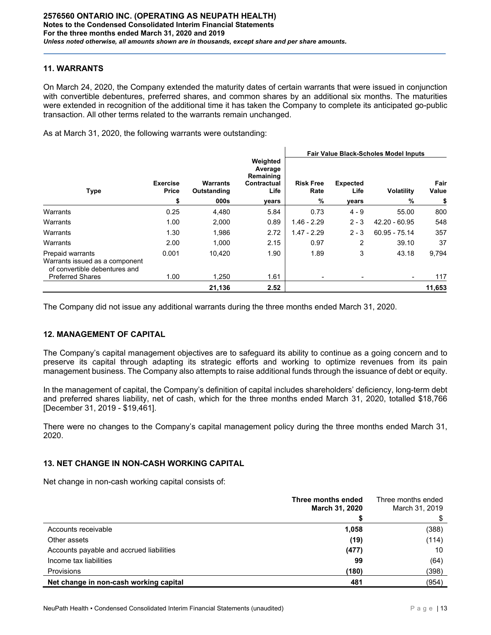#### **11. WARRANTS**

On March 24, 2020, the Company extended the maturity dates of certain warrants that were issued in conjunction with convertible debentures, preferred shares, and common shares by an additional six months. The maturities were extended in recognition of the additional time it has taken the Company to complete its anticipated go-public transaction. All other terms related to the warrants remain unchanged.

As at March 31, 2020, the following warrants were outstanding:

|                                                                                            |                                |                                        |                                                                  | <b>Fair Value Black-Scholes Model Inputs</b> |                                  |                        |                     |
|--------------------------------------------------------------------------------------------|--------------------------------|----------------------------------------|------------------------------------------------------------------|----------------------------------------------|----------------------------------|------------------------|---------------------|
| Type                                                                                       | <b>Exercise</b><br>Price<br>\$ | <b>Warrants</b><br>Outstanding<br>000s | Weighted<br>Average<br>Remaining<br>Contractual<br>Life<br>vears | <b>Risk Free</b><br>Rate<br>%                | <b>Expected</b><br>Life<br>years | <b>Volatility</b><br>% | Fair<br>Value<br>\$ |
| Warrants                                                                                   | 0.25                           | 4,480                                  | 5.84                                                             | 0.73                                         | $4 - 9$                          | 55.00                  | 800                 |
| Warrants                                                                                   | 1.00                           | 2,000                                  | 0.89                                                             | $1.46 - 2.29$                                | $2 - 3$                          | 42.20 - 60.95          | 548                 |
| Warrants                                                                                   | 1.30                           | 1,986                                  | 2.72                                                             | $1.47 - 2.29$                                | $2 - 3$                          | 60.95 - 75.14          | 357                 |
| Warrants                                                                                   | 2.00                           | 1,000                                  | 2.15                                                             | 0.97                                         | 2                                | 39.10                  | 37                  |
| <b>Prepaid warrants</b><br>Warrants issued as a component<br>of convertible debentures and | 0.001                          | 10.420                                 | 1.90                                                             | 1.89                                         | 3                                | 43.18                  | 9,794               |
| <b>Preferred Shares</b>                                                                    | 1.00                           | 1,250                                  | 1.61                                                             |                                              |                                  | -                      | 117                 |
|                                                                                            |                                | 21,136                                 | 2.52                                                             |                                              |                                  |                        | 11,653              |

The Company did not issue any additional warrants during the three months ended March 31, 2020.

#### **12. MANAGEMENT OF CAPITAL**

The Company's capital management objectives are to safeguard its ability to continue as a going concern and to preserve its capital through adapting its strategic efforts and working to optimize revenues from its pain management business. The Company also attempts to raise additional funds through the issuance of debt or equity.

In the management of capital, the Company's definition of capital includes shareholders' deficiency, long-term debt and preferred shares liability, net of cash, which for the three months ended March 31, 2020, totalled \$18,766 [December 31, 2019 - \$19,461].

There were no changes to the Company's capital management policy during the three months ended March 31, 2020.

# **13. NET CHANGE IN NON-CASH WORKING CAPITAL**

Net change in non-cash working capital consists of:

|                                          | Three months ended<br>March 31, 2020 | Three months ended<br>March 31, 2019 |
|------------------------------------------|--------------------------------------|--------------------------------------|
|                                          |                                      |                                      |
| Accounts receivable                      | 1,058                                | (388)                                |
| Other assets                             | (19)                                 | (114)                                |
| Accounts payable and accrued liabilities | (477)                                | 10                                   |
| Income tax liabilities                   | 99                                   | (64)                                 |
| Provisions                               | (180)                                | (398)                                |
| Net change in non-cash working capital   | 481                                  | (954)                                |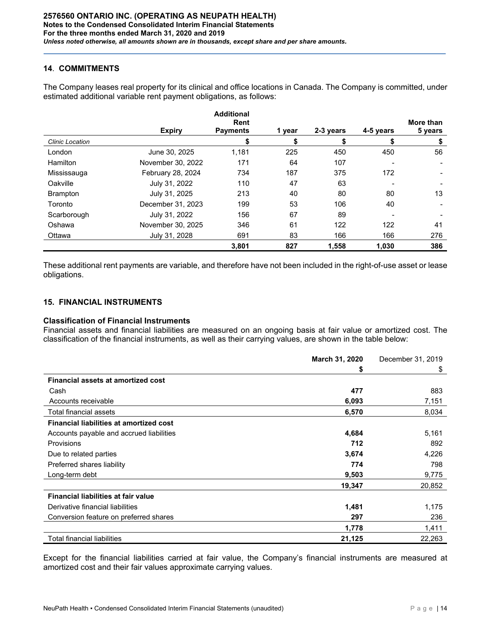## **14**. **COMMITMENTS**

The Company leases real property for its clinical and office locations in Canada. The Company is committed, under estimated additional variable rent payment obligations, as follows:

|                        |                   | <b>Additional</b><br>Rent |        |           |           | More than |
|------------------------|-------------------|---------------------------|--------|-----------|-----------|-----------|
|                        | <b>Expiry</b>     | <b>Payments</b>           | 1 year | 2-3 years | 4-5 years | 5 years   |
| <b>Clinic Location</b> |                   |                           | \$     | \$        |           | \$        |
| London                 | June 30, 2025     | 1,181                     | 225    | 450       | 450       | 56        |
| Hamilton               | November 30, 2022 | 171                       | 64     | 107       |           |           |
| Mississauga            | February 28, 2024 | 734                       | 187    | 375       | 172       |           |
| Oakville               | July 31, 2022     | 110                       | 47     | 63        |           |           |
| <b>Brampton</b>        | July 31, 2025     | 213                       | 40     | 80        | 80        | 13        |
| Toronto                | December 31, 2023 | 199                       | 53     | 106       | 40        |           |
| Scarborough            | July 31, 2022     | 156                       | 67     | 89        |           |           |
| Oshawa                 | November 30, 2025 | 346                       | 61     | 122       | 122       | 41        |
| Ottawa                 | July 31, 2028     | 691                       | 83     | 166       | 166       | 276       |
|                        |                   | 3,801                     | 827    | 1,558     | 1,030     | 386       |

These additional rent payments are variable, and therefore have not been included in the right-of-use asset or lease obligations.

# **15. FINANCIAL INSTRUMENTS**

#### **Classification of Financial Instruments**

Financial assets and financial liabilities are measured on an ongoing basis at fair value or amortized cost. The classification of the financial instruments, as well as their carrying values, are shown in the table below:

|                                                | March 31, 2020 | December 31, 2019 |
|------------------------------------------------|----------------|-------------------|
|                                                | \$             | \$                |
| <b>Financial assets at amortized cost</b>      |                |                   |
| Cash                                           | 477            | 883               |
| Accounts receivable                            | 6,093          | 7,151             |
| Total financial assets                         | 6,570          | 8,034             |
| <b>Financial liabilities at amortized cost</b> |                |                   |
| Accounts payable and accrued liabilities       | 4,684          | 5,161             |
| <b>Provisions</b>                              | 712            | 892               |
| Due to related parties                         | 3,674          | 4,226             |
| Preferred shares liability                     | 774            | 798               |
| Long-term debt                                 | 9,503          | 9,775             |
|                                                | 19,347         | 20,852            |
| Financial liabilities at fair value            |                |                   |
| Derivative financial liabilities               | 1,481          | 1,175             |
| Conversion feature on preferred shares         | 297            | 236               |
|                                                | 1,778          | 1,411             |
| <b>Total financial liabilities</b>             | 21,125         | 22,263            |

Except for the financial liabilities carried at fair value, the Company's financial instruments are measured at amortized cost and their fair values approximate carrying values.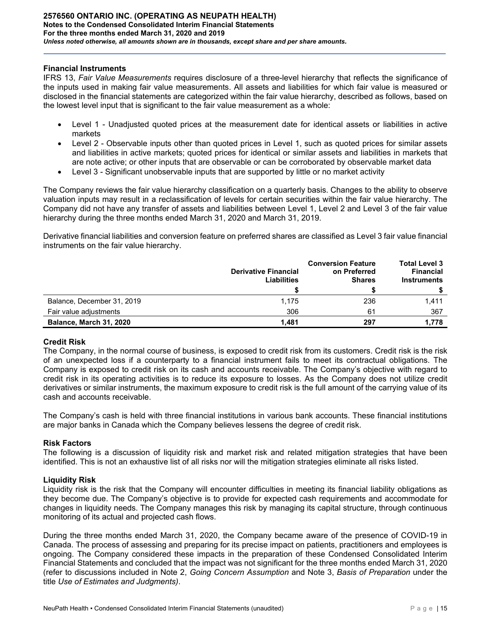#### **Financial Instruments**

IFRS 13, *Fair Value Measurements* requires disclosure of a three-level hierarchy that reflects the significance of the inputs used in making fair value measurements. All assets and liabilities for which fair value is measured or disclosed in the financial statements are categorized within the fair value hierarchy, described as follows, based on the lowest level input that is significant to the fair value measurement as a whole:

- Level 1 Unadjusted quoted prices at the measurement date for identical assets or liabilities in active markets
- Level 2 Observable inputs other than quoted prices in Level 1, such as quoted prices for similar assets and liabilities in active markets; quoted prices for identical or similar assets and liabilities in markets that are note active; or other inputs that are observable or can be corroborated by observable market data
- Level 3 Significant unobservable inputs that are supported by little or no market activity

The Company reviews the fair value hierarchy classification on a quarterly basis. Changes to the ability to observe valuation inputs may result in a reclassification of levels for certain securities within the fair value hierarchy. The Company did not have any transfer of assets and liabilities between Level 1, Level 2 and Level 3 of the fair value hierarchy during the three months ended March 31, 2020 and March 31, 2019.

Derivative financial liabilities and conversion feature on preferred shares are classified as Level 3 fair value financial instruments on the fair value hierarchy.

|                                                   | <b>Derivative Financial</b><br><b>Liabilities</b> | <b>Conversion Feature</b><br>on Preferred<br><b>Shares</b> | <b>Total Level 3</b><br><b>Financial</b><br><b>Instruments</b> |
|---------------------------------------------------|---------------------------------------------------|------------------------------------------------------------|----------------------------------------------------------------|
| Balance, December 31, 2019                        | 1,175                                             | 236                                                        | 1.411                                                          |
| Fair value adjustments<br>Balance, March 31, 2020 | 306<br>1.481                                      | 61<br>297                                                  | 367<br>1.778                                                   |

#### **Credit Risk**

The Company, in the normal course of business, is exposed to credit risk from its customers. Credit risk is the risk of an unexpected loss if a counterparty to a financial instrument fails to meet its contractual obligations. The Company is exposed to credit risk on its cash and accounts receivable. The Company's objective with regard to credit risk in its operating activities is to reduce its exposure to losses. As the Company does not utilize credit derivatives or similar instruments, the maximum exposure to credit risk is the full amount of the carrying value of its cash and accounts receivable.

The Company's cash is held with three financial institutions in various bank accounts. These financial institutions are major banks in Canada which the Company believes lessens the degree of credit risk.

#### **Risk Factors**

The following is a discussion of liquidity risk and market risk and related mitigation strategies that have been identified. This is not an exhaustive list of all risks nor will the mitigation strategies eliminate all risks listed.

#### **Liquidity Risk**

Liquidity risk is the risk that the Company will encounter difficulties in meeting its financial liability obligations as they become due. The Company's objective is to provide for expected cash requirements and accommodate for changes in liquidity needs. The Company manages this risk by managing its capital structure, through continuous monitoring of its actual and projected cash flows.

During the three months ended March 31, 2020, the Company became aware of the presence of COVID-19 in Canada. The process of assessing and preparing for its precise impact on patients, practitioners and employees is ongoing. The Company considered these impacts in the preparation of these Condensed Consolidated Interim Financial Statements and concluded that the impact was not significant for the three months ended March 31, 2020 (refer to discussions included in Note 2, *Going Concern Assumption* and Note 3, *Basis of Preparation* under the title *Use of Estimates and Judgments)*.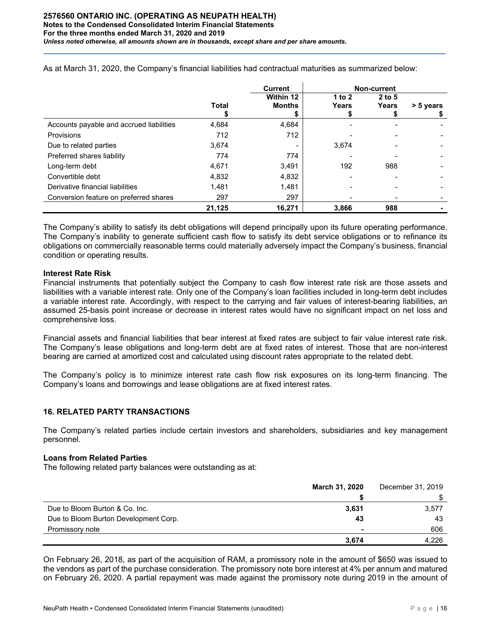|                                          |              | <b>Current</b> |          | Non-current |           |
|------------------------------------------|--------------|----------------|----------|-------------|-----------|
|                                          |              | Within 12      | 1 to $2$ | $2$ to 5    |           |
|                                          | <b>Total</b> | <b>Months</b>  | Years    | Years       | > 5 years |
|                                          |              |                |          |             |           |
| Accounts payable and accrued liabilities | 4,684        | 4,684          |          |             |           |
| <b>Provisions</b>                        | 712          | 712            |          |             |           |
| Due to related parties                   | 3,674        |                | 3,674    |             |           |
| Preferred shares liability               | 774          | 774            |          |             |           |
| Long-term debt                           | 4,671        | 3,491          | 192      | 988         |           |
| Convertible debt                         | 4,832        | 4,832          |          |             |           |
| Derivative financial liabilities         | 1.481        | 1,481          |          |             |           |
| Conversion feature on preferred shares   | 297          | 297            |          |             |           |
|                                          | 21,125       | 16,271         | 3,866    | 988         |           |

As at March 31, 2020, the Company's financial liabilities had contractual maturities as summarized below:

The Company's ability to satisfy its debt obligations will depend principally upon its future operating performance. The Company's inability to generate sufficient cash flow to satisfy its debt service obligations or to refinance its obligations on commercially reasonable terms could materially adversely impact the Company's business, financial condition or operating results.

#### **Interest Rate Risk**

Financial instruments that potentially subject the Company to cash flow interest rate risk are those assets and liabilities with a variable interest rate. Only one of the Company's loan facilities included in long-term debt includes a variable interest rate. Accordingly, with respect to the carrying and fair values of interest-bearing liabilities, an assumed 25-basis point increase or decrease in interest rates would have no significant impact on net loss and comprehensive loss.

Financial assets and financial liabilities that bear interest at fixed rates are subject to fair value interest rate risk. The Company's lease obligations and long-term debt are at fixed rates of interest. Those that are non-interest bearing are carried at amortized cost and calculated using discount rates appropriate to the related debt.

The Company's policy is to minimize interest rate cash flow risk exposures on its long-term financing. The Company's loans and borrowings and lease obligations are at fixed interest rates.

# **16. RELATED PARTY TRANSACTIONS**

The Company's related parties include certain investors and shareholders, subsidiaries and key management personnel.

#### **Loans from Related Parties**

The following related party balances were outstanding as at:

|                                       | March 31, 2020 | December 31, 2019 |
|---------------------------------------|----------------|-------------------|
|                                       |                |                   |
| Due to Bloom Burton & Co. Inc.        | 3,631          | 3,577             |
| Due to Bloom Burton Development Corp. | 43             | 43                |
| Promissory note                       |                | 606               |
|                                       | 3.674          | 4.226             |

On February 26, 2018, as part of the acquisition of RAM, a promissory note in the amount of \$650 was issued to the vendors as part of the purchase consideration. The promissory note bore interest at 4% per annum and matured on February 26, 2020. A partial repayment was made against the promissory note during 2019 in the amount of